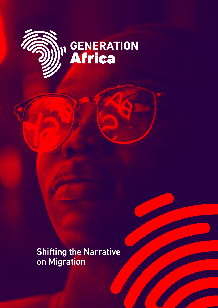

Shifting the Narrative on Migration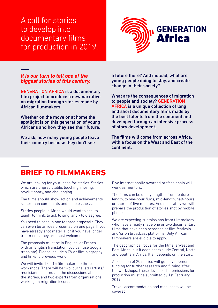### A call for stories to develop into documentary films for production in 2019.



#### *It is our turn to tell one of the biggest stories of this century.*

GENERATION AFRICA is a documentary film project to produce a new narrative on migration through stories made by African filmmakers.

Whether on the move or at home the spotlight is on this generation of young Africans and how they see their future.

We ask, how many young people leave their country because they don't see

a future there? And instead, what are young people doing to stay, and create change in their society?

What are the consequences of migration to people and society? GENERATION AFRICA is a unique collection of long and short documentary films made by the best talents from the continent and developed through an intensive process of story development.

The films will come from across Africa, with a focus on the West and East of the continent.

## **BRIEF TO FILMMAKERS**

We are looking for your ideas for stories. Stories which are unpredictable, touching, moving, revolutionary, and challenging.

The films should show action and achievements rather than complaints and hopelessness.

Stories people in Africa would want to see: to laugh, to think, to act, to sing, and - to disagree.

You need to send in one to three proposals. They can even be an idea presented on one page. If you have already shot material or if you have longer treatments, they are most welcome.

The proposals must be in English, or French with an English translation (you can use Google translate). Please include a CV or film biography and links to previous work.

We will invite 12 – 15 filmmakers to three workshops. There will be two journalists/artists/ musicians to stimulate the discussions about the stories, and two experts from organisations working on migration issues.

Five internationally awarded professionals will work as mentors.

The films can be of any length – from feature length, to one-hour films, mid-length, half-hours, or shorts of five minutes. And separately we will prepare the production of stories shot by mobile phones.

We are expecting submissions from filmmakers who have already made one or two documentary films that have been screened at film festivals and/or on broadcast platforms. Only African filmmakers are eligible to apply.

The geographical focus for the films is West and East Africa, but it does not exclude Central, North and Southern Africa. It all depends on the story.

A selection of 20 stories will get development funding for further research and filming after the workshops. These developed submissions for production must be submitted by 1st February 2019.

Travel, accommodation and meal costs will be covered.